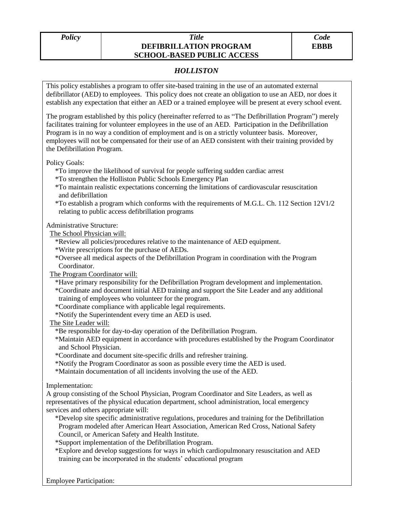## *Policy Title* **DEFIBRILLATION PROGRAM SCHOOL-BASED PUBLIC ACCESS**

## *HOLLISTON*

This policy establishes a program to offer site-based training in the use of an automated external defibrillator (AED) to employees. This policy does not create an obligation to use an AED, nor does it establish any expectation that either an AED or a trained employee will be present at every school event.

The program established by this policy (hereinafter referred to as "The Defibrillation Program") merely facilitates training for volunteer employees in the use of an AED. Participation in the Defibrillation Program is in no way a condition of employment and is on a strictly volunteer basis. Moreover, employees will not be compensated for their use of an AED consistent with their training provided by the Defibrillation Program.

Policy Goals:

- \*To improve the likelihood of survival for people suffering sudden cardiac arrest
- \*To strengthen the Holliston Public Schools Emergency Plan
- \*To maintain realistic expectations concerning the limitations of cardiovascular resuscitation and defibrillation
- \*To establish a program which conforms with the requirements of M.G.L. Ch. 112 Section 12V1/2 relating to public access defibrillation programs

Administrative Structure:

The School Physician will:

- \*Review all policies/procedures relative to the maintenance of AED equipment.
- \*Write prescriptions for the purchase of AEDs.
- \*Oversee all medical aspects of the Defibrillation Program in coordination with the Program Coordinator.

The Program Coordinator will:

- \*Have primary responsibility for the Defibrillation Program development and implementation. \*Coordinate and document initial AED training and support the Site Leader and any additional training of employees who volunteer for the program.
- \*Coordinate compliance with applicable legal requirements.
- \*Notify the Superintendent every time an AED is used.

The Site Leader will:

- \*Be responsible for day-to-day operation of the Defibrillation Program.
- \*Maintain AED equipment in accordance with procedures established by the Program Coordinator and School Physician.
- \*Coordinate and document site-specific drills and refresher training.
- \*Notify the Program Coordinator as soon as possible every time the AED is used.
- \*Maintain documentation of all incidents involving the use of the AED.
- Implementation:

A group consisting of the School Physician, Program Coordinator and Site Leaders, as well as representatives of the physical education department, school administration, local emergency services and others appropriate will:

- \*Develop site specific administrative regulations, procedures and training for the Defibrillation Program modeled after American Heart Association, American Red Cross, National Safety Council, or American Safety and Health Institute.
- \*Support implementation of the Defibrillation Program.
- \*Explore and develop suggestions for ways in which cardiopulmonary resuscitation and AED training can be incorporated in the students' educational program